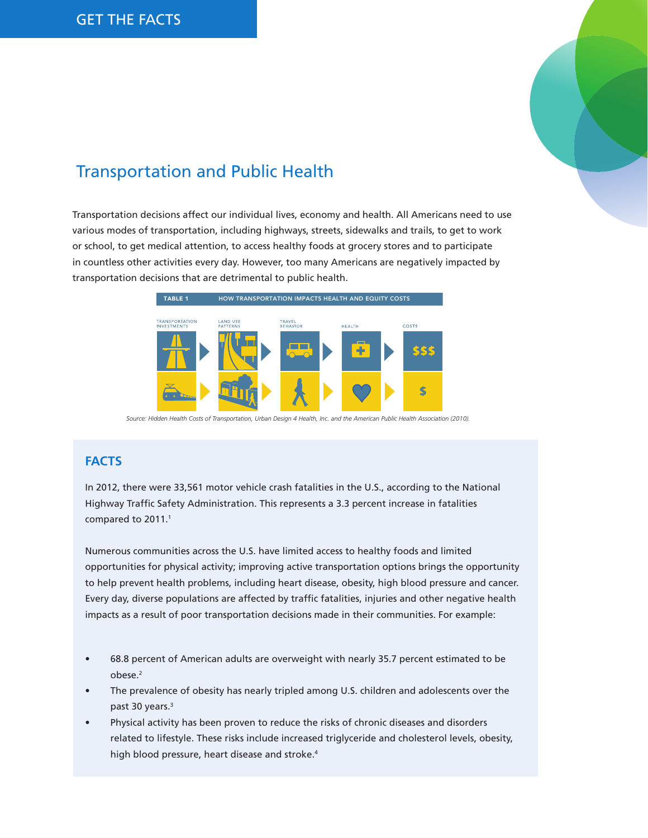

# Transportation and Public Health

Transportation decisions affect our individual lives, economy and health. All Americans need to use various modes of transportation, including highways, streets, sidewalks and trails, to get to work or school, to get medical attention, to access healthy foods at grocery stores and to participate in countless other activities every day. However, too many Americans are negatively impacted by transportation decisions that are detrimental to public health.



 *Source: Hidden Health Costs of Transportation, Urban Design 4 Health, Inc. and the American Public Health Association (2010).*

### **FACTS**

In 2012, there were 33,561 motor vehicle crash fatalities in the U.S., according to the National Highway Traffic Safety Administration. This represents a 3.3 percent increase in fatalities compared to 2011.<sup>1</sup>

Numerous communities across the U.S. have limited access to healthy foods and limited opportunities for physical activity; improving active transportation options brings the opportunity to help prevent health problems, including heart disease, obesity, high blood pressure and cancer. Every day, diverse populations are affected by traffic fatalities, injuries and other negative health impacts as a result of poor transportation decisions made in their communities. For example:

- 68.8 percent of American adults are overweight with nearly 35.7 percent estimated to be obese.2
- The prevalence of obesity has nearly tripled among U.S. children and adolescents over the past 30 years.<sup>3</sup>
- Physical activity has been proven to reduce the risks of chronic diseases and disorders related to lifestyle. These risks include increased triglyceride and cholesterol levels, obesity, high blood pressure, heart disease and stroke.<sup>4</sup>